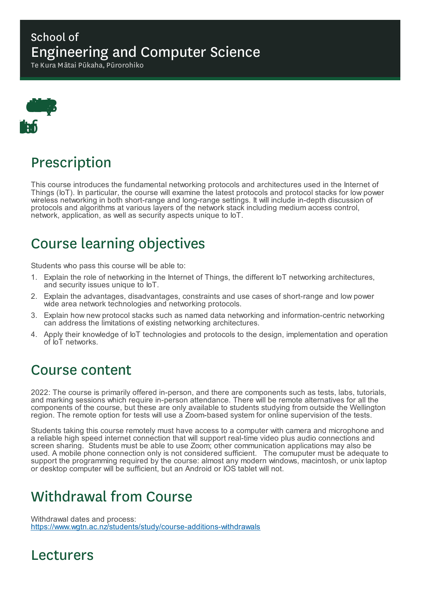#### School of Engineering and Computer Science

Te Kura Mātai Pūkaha, Pūrorohiko



# Prescription

This course introduces the fundamental networking protocols and architectures used in the Internet of Things (IoT). In particular, the course will examine the latest protocols and protocol stacks for low power wireless networking in both short-range and long-range settings. It will include in-depth discussion of protocols and algorithms at various layers of the network stack including medium access control, network, application, as well as security aspects unique to  $I$ .

## Course learning objectives

Students who pass this course will be able to:

- 1. Explain the role of networking in the Internet of Things, the different IoT networking architectures, and security issues unique to loT.
- 2. Explain the advantages, disadvantages, constraints and use cases of short-range and low power wide area network technologies and networking protocols.
- 3. Explain how new protocol stacks such as named data networking and information-centric networking can address the limitations of existing networking architectures.
- 4. Apply their knowledge of IoT technologies and protocols to the design, implementation and operation of IoT networks.

#### Course content

2022: The course is primarily offered in-person, and there are components such as tests, labs, tutorials, and marking sessions which require in-person attendance. There will be remote alternatives for all the components of the course, but these are only available to students studying from outside the Wellington region. The remote option for tests will use a Zoom-based system for online supervision of the tests.

Students taking this course remotely must have access to a computer with camera and microphone and a reliable high speed internet connection that will support real-time video plus audio connections and screen sharing. Students must be able to use Zoom; other communication applications may also be used. A mobile phone connection only is not considered sufficient. The comuputer must be adequate to support the programming required by the course: almost any modern windows, macintosh, or unix laptop or desktop computer will be sufficient, but an Android or IOS tablet will not.

## Withdrawal from Course

Withdrawal dates and process: https://www.wgtn.ac.nz/students/study/course-additions-withdrawals

#### Lecturers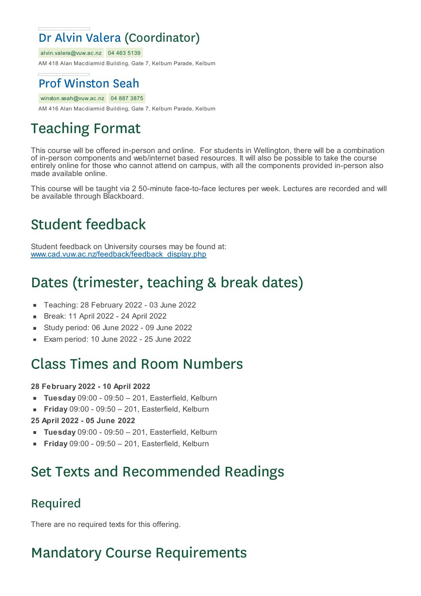### Dr Alvin Valera (Coordinator)

alvin.valera@vuw.ac.nz 04 463 5139

AM 418 Alan Macdiarmid Building, Gate 7, Kelburn Parade, Kelburn

#### Prof Winston Seah

winston.seah@vuw.ac.nz 04 887 3875

AM 416 Alan Macdiarmid Building, Gate 7, Kelburn Parade, Kelburn

# Teaching Format

This course will be offered in-person and online. For students in Wellington, there will be a combination of in-person components and web/internet based resources. It will also be possible to take the course entirely online for those who cannot attend on campus, with all the components provided in-person also made available online.

This course will be taught via 2 50-minute face-to-face lectures per week. Lectures are recorded and will be available through Blackboard.

# Student feedback

Student feedback on University courses may be found at: www.cad.vuw.ac.nz/feedback/feedback\_display.php

# Dates (trimester, teaching & break dates)

- Teaching: 28 February 2022 03 June 2022  $\blacksquare$
- Break: 11 April 2022 24 April 2022  $\blacksquare$
- Study period: 06 June 2022 09 June 2022
- Exam period: 10 June 2022 25 June 2022

#### Class Times and Room Numbers

#### **28 February 2022 - 10 April 2022**

- **Tuesday** 09:00 09:50 201, Easterfield, Kelburn  $\blacksquare$
- **Friday** 09:00 09:50 201, Easterfield, Kelburn  $\blacksquare$

#### **25 April 2022 - 05 June 2022**

- **Tuesday** 09:00 09:50 201, Easterfield, Kelburn
- **Friday** 09:00 09:50 201, Easterfield, Kelburn

### Set Texts and Recommended Readings

#### Required

There are no required texts for this offering.

## Mandatory Course Requirements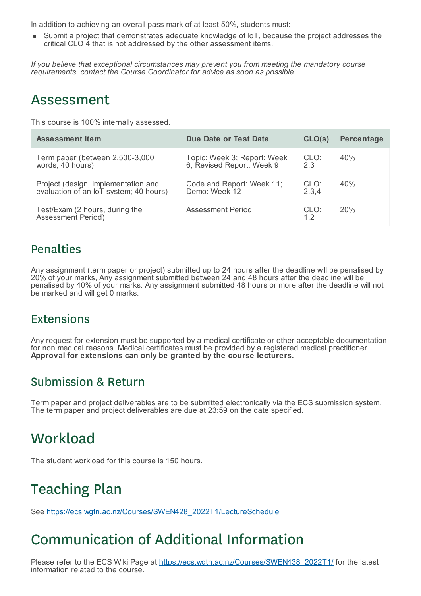In addition to achieving an overall pass mark of at least 50%, students must:

Submit a project that demonstrates adequate knowledge of IoT, because the project addresses the critical CLO 4 that is not addressed by the other assessment items.

*If you believe that exceptional circumstances may prevent you from meeting the mandatory course requirements, contact the Course Coordinator for advice as soon as possible.*

#### Assessment

This course is 100% internally assessed.

| <b>Assessment Item</b>                               | Due Date or Test Date       | CLO(s)      | Percentage |
|------------------------------------------------------|-----------------------------|-------------|------------|
| Term paper (between 2,500-3,000                      | Topic: Week 3; Report: Week | CLO:        | 40%        |
| words; 40 hours)                                     | 6; Revised Report: Week 9   | 2.3         |            |
| Project (design, implementation and                  | Code and Report: Week 11;   | CLO:        | 40%        |
| evaluation of an loT system; 40 hours)               | Demo: Week 12               | 2,3,4       |            |
| Test/Exam (2 hours, during the<br>Assessment Period) | Assessment Period           | CLO:<br>1.2 | 20%        |

#### Penalties

Any assignment (term paper or project) submitted up to 24 hours after the deadline will be penalised by 20% of your marks, Any assignment submitted between 24 and 48 hours after the deadline will be penalised by 40% of your marks. Any assignment submitted 48 hours or more after the deadline will not be marked and will get 0 marks.

#### **Extensions**

Any request for extension must be supported by a medical certificate or other acceptable documentation for non medical reasons. Medical certificates must be provided by a registered medical practitioner. **Approval for extensions can only be granted by the course lecturers.**

#### Submission & Return

Term paper and project deliverables are to be submitted electronically via the ECS submission system. The term paper and project deliverables are due at 23:59 on the date specified.

### **Workload**

The student workload for this course is 150 hours.

### Teaching Plan

See https://ecs.wgtn.ac.nz/Courses/SWEN428\_2022T1/LectureSchedule

## Communication of Additional Information

Please refer to the ECS Wiki Page at https://ecs.wgtn.ac.nz/Courses/SWEN438\_2022T1/ for the latest information related to the course.